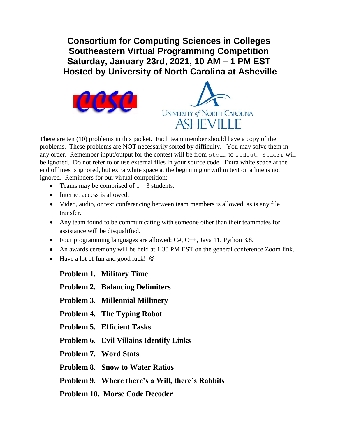**Consortium for Computing Sciences in Colleges Southeastern Virtual Programming Competition Saturday, January 23rd, 2021, 10 AM – 1 PM EST Hosted by University of North Carolina at Asheville**





There are ten (10) problems in this packet. Each team member should have a copy of the problems. These problems are NOT necessarily sorted by difficulty. You may solve them in any order. Remember input/output for the contest will be from stdin to stdout. Stderr will be ignored. Do not refer to or use external files in your source code. Extra white space at the end of lines is ignored, but extra white space at the beginning or within text on a line is not ignored. Reminders for our virtual competition:

- Teams may be comprised of  $1 3$  students.
- Internet access is allowed.
- Video, audio, or text conferencing between team members is allowed, as is any file transfer.
- Any team found to be communicating with someone other than their teammates for assistance will be disqualified.
- Four programming languages are allowed:  $C#, C++, Java 11, Python 3.8$ .
- An awards ceremony will be held at 1:30 PM EST on the general conference Zoom link.
- $\bullet$  Have a lot of fun and good luck!  $\odot$

**Problem 1. Military Time**

- **Problem 2. Balancing Delimiters**
- **Problem 3. Millennial Millinery**
- **Problem 4. The Typing Robot**
- **Problem 5. Efficient Tasks**
- **Problem 6. Evil Villains Identify Links**
- **Problem 7. Word Stats**
- **Problem 8. Snow to Water Ratios**
- **Problem 9. Where there's a Will, there's Rabbits**
- **Problem 10. Morse Code Decoder**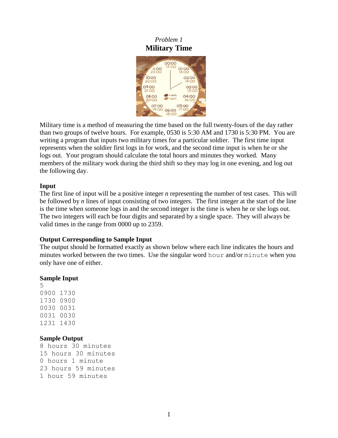## *Problem 1* **Military Time**



Military time is a method of measuring the time based on the full twenty-fours of the day rather than two groups of twelve hours. For example, 0530 is 5:30 AM and 1730 is 5:30 PM. You are writing a program that inputs two military times for a particular soldier. The first time input represents when the soldier first logs in for work, and the second time input is when he or she logs out. Your program should calculate the total hours and minutes they worked. Many members of the military work during the third shift so they may log in one evening, and log out the following day.

#### **Input**

The first line of input will be a positive integer *n* representing the number of test cases. This will be followed by *n* lines of input consisting of two integers. The first integer at the start of the line is the time when someone logs in and the second integer is the time is when he or she logs out. The two integers will each be four digits and separated by a single space. They will always be valid times in the range from 0000 up to 2359.

#### **Output Corresponding to Sample Input**

The output should be formatted exactly as shown below where each line indicates the hours and minutes worked between the two times. Use the singular word hour and/or minute when you only have one of either.

#### **Sample Input**

#### **Sample Output**

8 hours 30 minutes 15 hours 30 minutes 0 hours 1 minute 23 hours 59 minutes 1 hour 59 minutes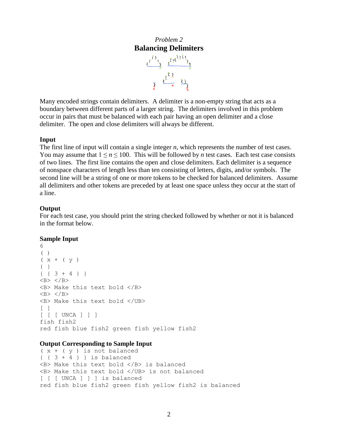# *Problem 2* **Balancing Delimiters**

 $\frac{\bar{\epsilon}^{\bar{\zeta}^{\,2}}{}_{2}}{\bar{\epsilon}^{\bar{\zeta}^{\,2}}{}_{2}}\quad \ \ \, \frac{\bar{\epsilon}^{\bar{\zeta}^{\,2}}\bar{\zeta}^{\bar{\zeta}^{\,2}}{}_{2}}\quad \ \ \,$  $\frac{1}{2}$   $\frac{\sqrt{5}}{2}$   $\frac{1}{2}$ 

Many encoded strings contain delimiters. A delimiter is a non-empty string that acts as a boundary between different parts of a larger string. The delimiters involved in this problem occur in pairs that must be balanced with each pair having an open delimiter and a close delimiter. The open and close delimiters will always be different.

#### **Input**

The first line of input will contain a single integer *n*, which represents the number of test cases. You may assume that  $1 \le n \le 100$ . This will be followed by *n* test cases. Each test case consists of two lines. The first line contains the open and close delimiters. Each delimiter is a sequence of nonspace characters of length less than ten consisting of letters, digits, and/or symbols. The second line will be a string of one or more tokens to be checked for balanced delimiters. Assume all delimiters and other tokens are preceded by at least one space unless they occur at the start of a line.

#### **Output**

For each test case, you should print the string checked followed by whether or not it is balanced in the format below.

#### **Sample Input**

```
6
( )(x + (y)){ }
{ { 3 + 4 } }
\langle B \rangle \langle/B \rangle<B> Make this text bold </B>
\langle B \rangle \langle/B \rangle<B> Make this text bold </UB>
\lceil \rceil[ [ [ UNCA ] ] ]
fish fish2
red fish blue fish2 green fish yellow fish2
```
#### **Output Corresponding to Sample Input**

```
(x + (y)) is not balanced
\{ \{ 3 + 4 \} \} is balanced
<B> Make this text bold </B> is balanced
<B> Make this text bold </UB> is not balanced
[ [ [ UNCA ] ] ] is balanced
red fish blue fish2 green fish yellow fish2 is balanced
```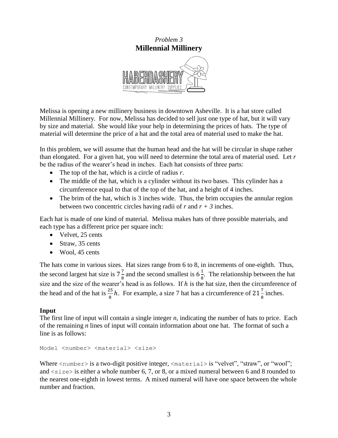## *Problem 3* **Millennial Millinery**



Melissa is opening a new millinery business in downtown Asheville. It is a hat store called Millennial Millinery. For now, Melissa has decided to sell just one type of hat, but it will vary by size and material. She would like your help in determining the prices of hats. The type of material will determine the price of a hat and the total area of material used to make the hat.

In this problem, we will assume that the human head and the hat will be circular in shape rather than elongated. For a given hat, you will need to determine the total area of material used. Let *r* be the radius of the wearer's head in inches. Each hat consists of three parts:

- The top of the hat, which is a circle of radius *r*.
- The middle of the hat, which is a cylinder without its two bases. This cylinder has a circumference equal to that of the top of the hat, and a height of 4 inches.
- The brim of the hat, which is 3 inches wide. Thus, the brim occupies the annular region between two concentric circles having radii of  $r$  and  $r + 3$  inches.

Each hat is made of one kind of material. Melissa makes hats of three possible materials, and each type has a different price per square inch:

- Velvet, 25 cents
- $\bullet$  Straw, 35 cents
- Wool, 45 cents

The hats come in various sizes. Hat sizes range from 6 to 8, in increments of one-eighth. Thus, the second largest hat size is  $7\frac{7}{6}$  $\frac{7}{8}$  and the second smallest is  $6\frac{1}{8}$  $\frac{1}{8}$ . The relationship between the hat size and the size of the wearer's head is as follows. If  $h$  is the hat size, then the circumference of the head and of the hat is  $\frac{25}{8}h$ . For example, a size 7 hat has a circumference of  $21\frac{7}{8}$  inches.

### **Input**

The first line of input will contain a single integer *n*, indicating the number of hats to price. Each of the remaining *n* lines of input will contain information about one hat. The format of such a line is as follows:

Model <number> <material> <size>

Where <number> is a two-digit positive integer, <material> is "velvet", "straw", or "wool"; and  $\langle$ size $\rangle$  is either a whole number 6, 7, or 8, or a mixed numeral between 6 and 8 rounded to the nearest one-eighth in lowest terms. A mixed numeral will have one space between the whole number and fraction.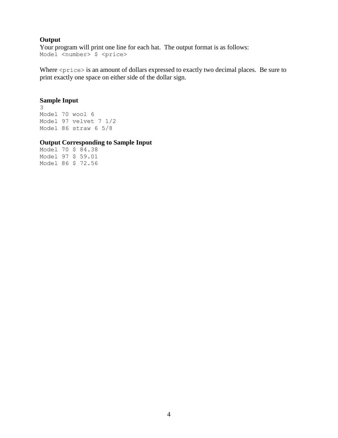## **Output**

Your program will print one line for each hat. The output format is as follows: Model <number> \$ <price>

Where <price> is an amount of dollars expressed to exactly two decimal places. Be sure to print exactly one space on either side of the dollar sign.

### **Sample Input**

3 Model 70 wool 6 Model 97 velvet 7 1/2 Model 86 straw 6 5/8

### **Output Corresponding to Sample Input**

Model 70 \$ 84.38 Model 97 \$ 59.01 Model 86 \$ 72.56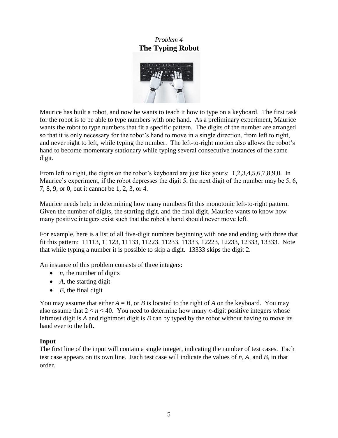# *Problem 4* **The Typing Robot**



Maurice has built a robot, and now he wants to teach it how to type on a keyboard. The first task for the robot is to be able to type numbers with one hand. As a preliminary experiment, Maurice wants the robot to type numbers that fit a specific pattern. The digits of the number are arranged so that it is only necessary for the robot's hand to move in a single direction, from left to right, and never right to left, while typing the number. The left-to-right motion also allows the robot's hand to become momentary stationary while typing several consecutive instances of the same digit.

From left to right, the digits on the robot's keyboard are just like yours: 1,2,3,4,5,6,7,8,9,0. In Maurice's experiment, if the robot depresses the digit 5, the next digit of the number may be 5, 6, 7, 8, 9, or 0, but it cannot be 1, 2, 3, or 4.

Maurice needs help in determining how many numbers fit this monotonic left-to-right pattern. Given the number of digits, the starting digit, and the final digit, Maurice wants to know how many positive integers exist such that the robot's hand should never move left.

For example, here is a list of all five-digit numbers beginning with one and ending with three that fit this pattern: 11113, 11123, 11133, 11223, 11233, 11333, 12223, 12233, 12333, 13333. Note that while typing a number it is possible to skip a digit. 13333 skips the digit 2.

An instance of this problem consists of three integers:

- $\bullet$  *n*, the number of digits
- *A*, the starting digit
- $\bullet$  *B*, the final digit

You may assume that either  $A = B$ , or *B* is located to the right of *A* on the keyboard. You may also assume that  $2 \le n \le 40$ . You need to determine how many *n*-digit positive integers whose leftmost digit is *A* and rightmost digit is *B* can by typed by the robot without having to move its hand ever to the left.

## **Input**

The first line of the input will contain a single integer, indicating the number of test cases. Each test case appears on its own line. Each test case will indicate the values of *n*, *A*, and *B*, in that order.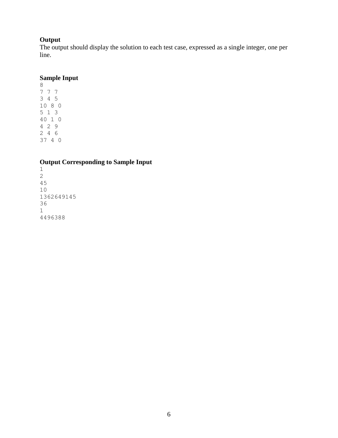# **Output**

The output should display the solution to each test case, expressed as a single integer, one per line.

## **Sample Input**

## **Output Corresponding to Sample Input**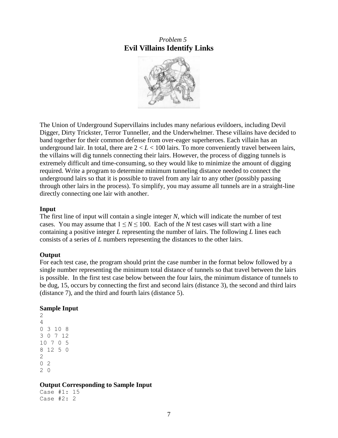## *Problem 5* **Evil Villains Identify Links**



The Union of Underground Supervillains includes many nefarious evildoers, including Devil Digger, Dirty Trickster, Terror Tunneller, and the Underwhelmer. These villains have decided to band together for their common defense from over-eager superheroes. Each villain has an underground lair. In total, there are  $2 < L < 100$  lairs. To more conveniently travel between lairs, the villains will dig tunnels connecting their lairs. However, the process of digging tunnels is extremely difficult and time-consuming, so they would like to minimize the amount of digging required. Write a program to determine minimum tunneling distance needed to connect the underground lairs so that it is possible to travel from any lair to any other (possibly passing through other lairs in the process). To simplify, you may assume all tunnels are in a straight-line directly connecting one lair with another.

### **Input**

The first line of input will contain a single integer *N*, which will indicate the number of test cases. You may assume that  $1 \leq N \leq 100$ . Each of the *N* test cases will start with a line containing a positive integer *L* representing the number of lairs. The following *L* lines each consists of a series of *L* numbers representing the distances to the other lairs.

## **Output**

For each test case, the program should print the case number in the format below followed by a single number representing the minimum total distance of tunnels so that travel between the lairs is possible. In the first test case below between the four lairs, the minimum distance of tunnels to be dug, 15, occurs by connecting the first and second lairs (distance 3), the second and third lairs (distance 7), and the third and fourth lairs (distance 5).

## **Sample Input**

### **Output Corresponding to Sample Input**

Case #1: 15 Case #2: 2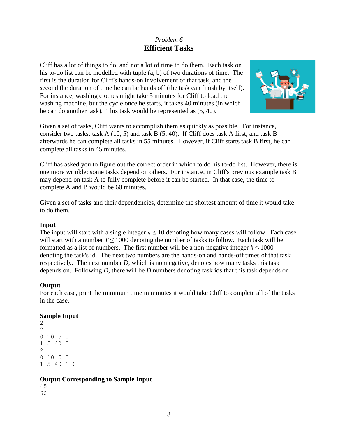# *Problem 6* **Efficient Tasks**

Cliff has a lot of things to do, and not a lot of time to do them. Each task on his to-do list can be modelled with tuple (a, b) of two durations of time: The first is the duration for Cliff's hands-on involvement of that task, and the second the duration of time he can be hands off (the task can finish by itself). For instance, washing clothes might take 5 minutes for Cliff to load the washing machine, but the cycle once he starts, it takes 40 minutes (in which he can do another task). This task would be represented as (5, 40).



Given a set of tasks, Cliff wants to accomplish them as quickly as possible. For instance, consider two tasks: task A (10, 5) and task B (5, 40). If Cliff does task A first, and task B afterwards he can complete all tasks in 55 minutes. However, if Cliff starts task B first, he can complete all tasks in 45 minutes.

Cliff has asked you to figure out the correct order in which to do his to-do list. However, there is one more wrinkle: some tasks depend on others. For instance, in Cliff's previous example task B may depend on task A to fully complete before it can be started. In that case, the time to complete A and B would be 60 minutes.

Given a set of tasks and their dependencies, determine the shortest amount of time it would take to do them.

### **Input**

The input will start with a single integer  $n \leq 10$  denoting how many cases will follow. Each case will start with a number  $T \le 1000$  denoting the number of tasks to follow. Each task will be formatted as a list of numbers. The first number will be a non-negative integer  $k \le 1000$ denoting the task's id. The next two numbers are the hands-on and hands-off times of that task respectively. The next number *D*, which is nonnegative, denotes how many tasks this task depends on. Following *D*, there will be *D* numbers denoting task ids that this task depends on

### **Output**

For each case, print the minimum time in minutes it would take Cliff to complete all of the tasks in the case.

### **Sample Input**

## **Output Corresponding to Sample Input**

45 60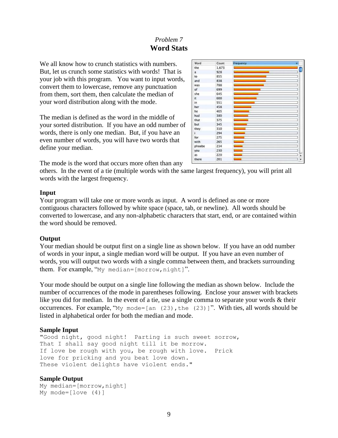# *Problem 7* **Word Stats**

We all know how to crunch statistics with numbers. But, let us crunch some statistics with words! That is your job with this program. You want to input words, convert them to lowercase, remove any punctuation from them, sort them, then calculate the median of your word distribution along with the mode.

The median is defined as the word in the middle of your sorted distribution. If you have an odd number of words, there is only one median. But, if you have an even number of words, you will have two words that define your median.



The mode is the word that occurs more often than any

others. In the event of a tie (multiple words with the same largest frequency), you will print all words with the largest frequency.

### **Input**

Your program will take one or more words as input. A word is defined as one or more contiguous characters followed by white space (space, tab, or newline). All words should be converted to lowercase, and any non-alphabetic characters that start, end, or are contained within the word should be removed.

## **Output**

Your median should be output first on a single line as shown below. If you have an odd number of words in your input, a single median word will be output. If you have an even number of words, you will output two words with a single comma between them, and brackets surrounding them. For example, "My median=[morrow,night]".

Your mode should be output on a single line following the median as shown below. Include the number of occurrences of the mode in parentheses following. Enclose your answer with brackets like you did for median. In the event of a tie, use a single comma to separate your words & their occurrences. For example, " $My$  mode=[an (23), the (23)]". With ties, all words should be listed in alphabetical order for both the median and mode.

## **Sample Input**

"Good night, good night! Parting is such sweet sorrow, That I shall say good night till it be morrow. If love be rough with you, be rough with love. Prick love for pricking and you beat love down. These violent delights have violent ends."

## **Sample Output**

```
My median=[morrow,night]
My mode=[love (4)]
```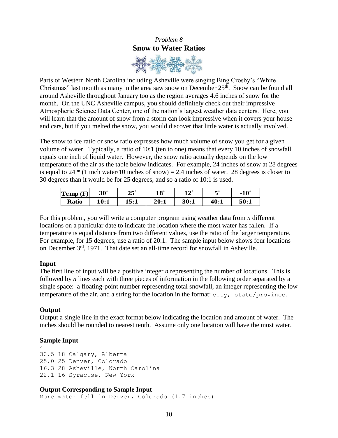# *Problem 8* **Snow to Water Ratios**



Parts of Western North Carolina including Asheville were singing Bing Crosby's "White Christmas" last month as many in the area saw snow on December  $25<sup>th</sup>$ . Snow can be found all around Asheville throughout January too as the region averages 4.6 inches of snow for the month. On the UNC Asheville campus, you should definitely check out their impressive Atmospheric Science Data Center, one of the nation's largest weather data centers. Here, you will learn that the amount of snow from a storm can look impressive when it covers your house and cars, but if you melted the snow, you would discover that little water is actually involved.

The snow to ice ratio or snow ratio expresses how much volume of snow you get for a given volume of water. Typically, a ratio of 10:1 (ten to one) means that every 10 inches of snowfall equals one inch of liquid water. However, the snow ratio actually depends on the low temperature of the air as the table below indicates. For example, 24 inches of snow at 28 degrees is equal to 24  $*$  (1 inch water/10 inches of snow) = 2.4 inches of water. 28 degrees is closer to 30 degrees than it would be for 25 degrees, and so a ratio of 10:1 is used.

| $\mathbf{Temp}(\mathbf{F})$ | $30^\circ$ | دے   | 10 $^{\circ}$ | 10   |      | $10^\circ$ |
|-----------------------------|------------|------|---------------|------|------|------------|
| <b>Ratio</b>                | l0:1       | 15:1 | 20:1          | 30:1 | 40:1 | 50:1       |

For this problem, you will write a computer program using weather data from *n* different locations on a particular date to indicate the location where the most water has fallen. If a temperature is equal distance from two different values, use the ratio of the larger temperature. For example, for 15 degrees, use a ratio of 20:1. The sample input below shows four locations on December 3rd, 1971. That date set an all-time record for snowfall in Asheville.

## **Input**

The first line of input will be a positive integer *n* representing the number of locations. This is followed by *n* lines each with three pieces of information in the following order separated by a single space: a floating-point number representing total snowfall, an integer representing the low temperature of the air, and a string for the location in the format: city, state/province.

### **Output**

Output a single line in the exact format below indicating the location and amount of water. The inches should be rounded to nearest tenth. Assume only one location will have the most water.

### **Sample Input**

4 30.5 18 Calgary, Alberta 25.0 25 Denver, Colorado 16.3 28 Asheville, North Carolina 22.1 16 Syracuse, New York

### **Output Corresponding to Sample Input**

More water fell in Denver, Colorado (1.7 inches)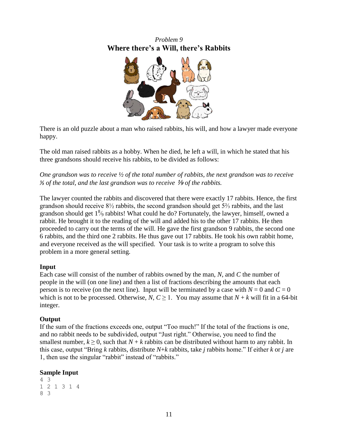# *Problem 9* **Where there's a Will, there's Rabbits**



There is an old puzzle about a man who raised rabbits, his will, and how a lawyer made everyone happy.

The old man raised rabbits as a hobby. When he died, he left a will, in which he stated that his three grandsons should receive his rabbits, to be divided as follows:

*One grandson was to receive ½ of the total number of rabbits, the next grandson was to receive <sup>∤</sup>⁄<sub>3</sub> of the total, and the last grandson was to receive <sup>1</sup>⁄<sub>2</sub> <i>of the rabbits.* 

The lawyer counted the rabbits and discovered that there were exactly 17 rabbits. Hence, the first grandson should receive 8½ rabbits, the second grandson should get 5⅔ rabbits, and the last grandson should get 1% rabbits! What could he do? Fortunately, the lawyer, himself, owned a rabbit. He brought it to the reading of the will and added his to the other 17 rabbits. He then proceeded to carry out the terms of the will. He gave the first grandson 9 rabbits, the second one 6 rabbits, and the third one 2 rabbits. He thus gave out 17 rabbits. He took his own rabbit home, and everyone received as the will specified. Your task is to write a program to solve this problem in a more general setting.

## **Input**

Each case will consist of the number of rabbits owned by the man, *N*, and *C* the number of people in the will (on one line) and then a list of fractions describing the amounts that each person is to receive (on the next line). Input will be terminated by a case with  $N = 0$  and  $C = 0$ which is not to be processed. Otherwise, *N*,  $C \ge 1$ . You may assume that  $N + k$  will fit in a 64-bit integer.

## **Output**

If the sum of the fractions exceeds one, output "Too much!" If the total of the fractions is one, and no rabbit needs to be subdivided, output "Just right." Otherwise, you need to find the smallest number,  $k \ge 0$ , such that  $N + k$  rabbits can be distributed without harm to any rabbit. In this case, output "Bring *k* rabbits, distribute *N*+*k* rabbits, take *j* rabbits home." If either *k* or *j* are 1, then use the singular "rabbit" instead of "rabbits."

## **Sample Input**

```
4 3
1 2 1 3 1 4
8 3
```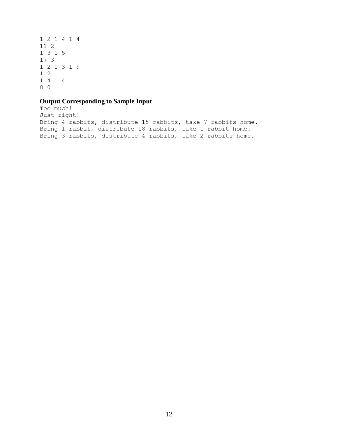## **Output Corresponding to Sample Input**

```
Too much!
Just right!
Bring 4 rabbits, distribute 15 rabbits, take 7 rabbits home.
Bring 1 rabbit, distribute 18 rabbits, take 1 rabbit home.
Bring 3 rabbits, distribute 4 rabbits, take 2 rabbits home.
```